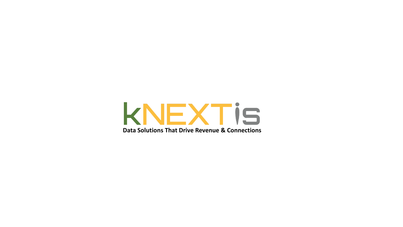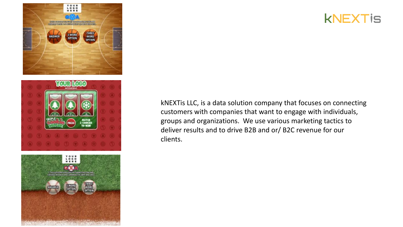





kNEXTis LLC, is a data solution company that focuses on connecting customers with companies that want to engage with individuals, groups and organizations. We use various marketing tactics to deliver results and to drive B2B and or/ B2C revenue for our clients.

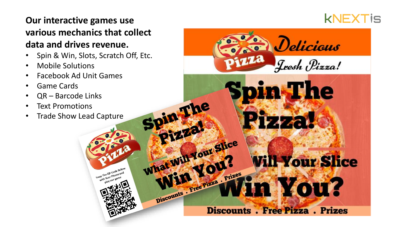## **Our interactive games use various mechanics that collect data and drives revenue.**

• Spin & Win, Slots, Scratch Off, Etc.

**In The** 

Whet Will Your Slice

Discounts . Free Pizza . Prizes

- Mobile Solutions
- Facebook Ad Unit Games
- Game Cards
- QR Barcode Links
- Text Promotions
- Trade Show Lead Capture



Delicious

Jeesh Pizza!

n The

**Vill Your Slice** 

n Nou?

**Discounts . Free Pizza . Prizes**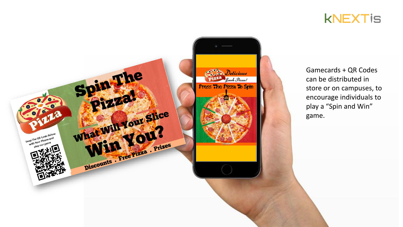



Gamecards + QR Codes can be distributed in store or on campuses, to encourage individuals to play a "Spin and Win" game.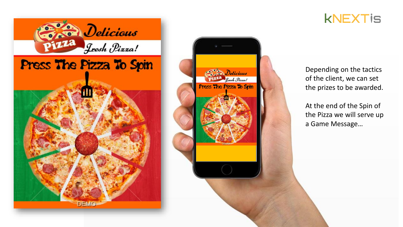





Depending on the tactics of the client, we can set the prizes to be awarded.

At the end of the Spin of the Pizza we will serve up a Game Message…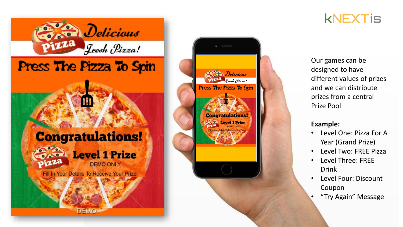





Our games can be designed to have different values of prizes and we can distribute prizes from a central Prize Pool

## **Example:**

- Level One: Pizza For A Year (Grand Prize)
- Level Two: FREE Pizza
- Level Three: FREE Drink
- Level Four: Discount Coupon
- "Try Again" Message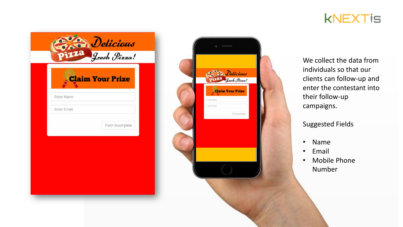

|                    | <b>Claim Your Prize</b> |
|--------------------|-------------------------|
| <b>Enter Name</b>  |                         |
| <b>Enter Email</b> |                         |
|                    | Form Incomplete         |
|                    |                         |
|                    |                         |



We collect the data from individuals so that our clients can follow-up and enter the contestant into their follow-up campaigns.

Suggested Fields

- Name
- Email
- Mobile Phone Number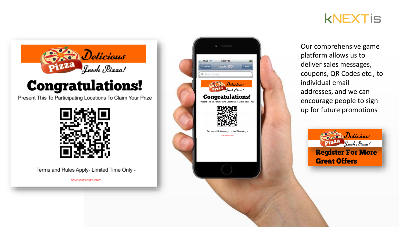



## **Congratulations!**

Present This To Participating Locations To Claim Your Prize



Terms and Rules Apply- Limited Time Only -

**DEMO PURPOSES ONLY** 



Our comprehensive game platform allows us to deliver sales messages, coupons, QR Codes etc., to individual email addresses, and we can encourage people to sign up for future promotions